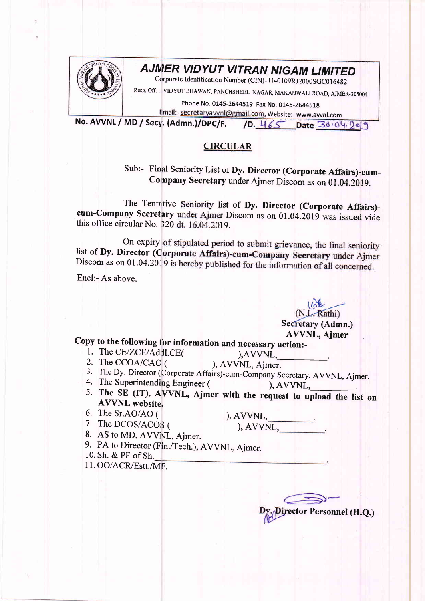

## **AJMER VIDYUT VITRAN NIGAM LIMITED**

Corporate Identification Number (CIN)- U40109RJ2000SGC016482

Resg. Off. :- VIDYUT BHAWAN, PANCHSHEEL NAGAR, MAKADWALI ROAD, AJMER-305004

Phone No. 0145-2644519 Fax No. 0145-2644518 Email:- secretaryavvnl@gmail.com, Website:- www.avvnl.com

No. AVVNL / MD / Secy. (Admn.)/DPC/F. 10. 465 Date 30.04.2019

## **CIRCULAR**

Sub:- Final Seniority List of Dy. Director (Corporate Affairs)-cum-Company Secretary under Ajmer Discom as on 01.04.2019.

The Tentative Seniority list of Dy. Director (Corporate Affairs)cum-Company Secretary under Ajmer Discom as on 01.04.2019 was issued vide this office circular No. 320 dt. 16.04.2019.

On expiry of stipulated period to submit grievance, the final seniority list of Dy. Director (Corporate Affairs)-cum-Company Secretary under Ajmer Discom as on 01.04.2019 is hereby published for the information of all concerned.

Encl:- As above.

(N.L. Rathi) Secretary (Admn.) **AVVNL, Ajmer** 

## Copy to the following for information and necessary action:-

- 1. The CE/ZCE/Addl.CE(
- 2. The CCOA/CAO (
- ), AVVNL, Ajmer. 3. The Dy. Director (Corporate Affairs)-cum-Company Secretary, AVVNL, Ajmer.
- 4. The Superintending Engineer (  $AVVNL$
- 5. The SE (IT), AVVNL, Ajmer with the request to upload the list on **AVVNL** website.
- 6. The Sr.AO/AO (
- 7. The DCOS/ACOS (

 $), AVVNL, \underline{\qquad \qquad .}.$   $), AVVNL, \underline{\qquad \qquad .}.$ 

), AVVNL,

- 8. AS to MD, AVVNL, Ajmer.
- 9. PA to Director (Fin./Tech.), AVVNL, Ajmer.
- 10. Sh. & PF of Sh.
- 11.00/ACR/Estt./MF.

ector Personnel (H.Q.)